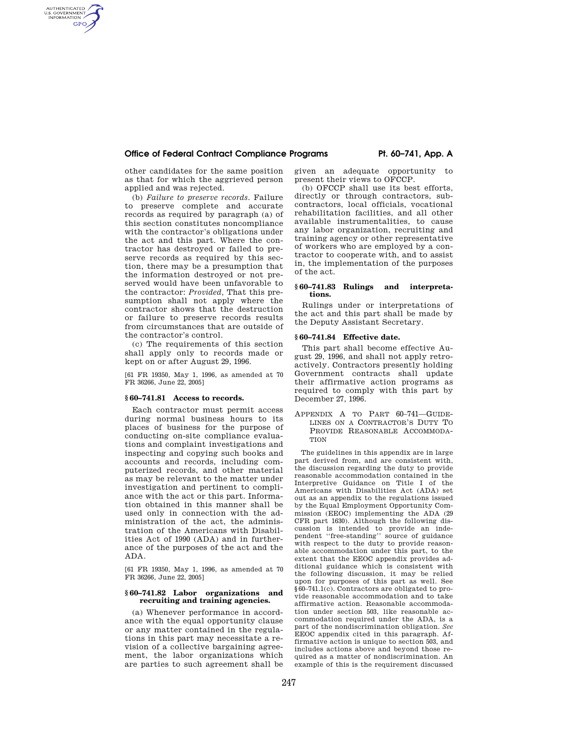## **Office of Federal Contract Compliance Programs Pt. 60–741, App. A**

other candidates for the same position as that for which the aggrieved person applied and was rejected.

AUTHENTICATED<br>U.S. GOVERNMENT<br>INFORMATION **GPO** 

> (b) *Failure to preserve records.* Failure to preserve complete and accurate records as required by paragraph (a) of this section constitutes noncompliance with the contractor's obligations under the act and this part. Where the contractor has destroyed or failed to preserve records as required by this section, there may be a presumption that the information destroyed or not preserved would have been unfavorable to the contractor: *Provided,* That this presumption shall not apply where the contractor shows that the destruction or failure to preserve records results from circumstances that are outside of the contractor's control.

(c) The requirements of this section shall apply only to records made or kept on or after August 29, 1996.

[61 FR 19350, May 1, 1996, as amended at 70 FR 36266, June 22, 2005]

## **§ 60–741.81 Access to records.**

Each contractor must permit access during normal business hours to its places of business for the purpose of conducting on-site compliance evaluations and complaint investigations and inspecting and copying such books and accounts and records, including computerized records, and other material as may be relevant to the matter under investigation and pertinent to compliance with the act or this part. Information obtained in this manner shall be used only in connection with the administration of the act, the administration of the Americans with Disabilities Act of 1990 (ADA) and in furtherance of the purposes of the act and the ADA.

[61 FR 19350, May 1, 1996, as amended at 70 FR 36266, June 22, 2005]

### **§ 60–741.82 Labor organizations and recruiting and training agencies.**

(a) Whenever performance in accordance with the equal opportunity clause or any matter contained in the regulations in this part may necessitate a revision of a collective bargaining agreement, the labor organizations which are parties to such agreement shall be given an adequate opportunity to present their views to OFCCP.

(b) OFCCP shall use its best efforts, directly or through contractors, subcontractors, local officials, vocational rehabilitation facilities, and all other available instrumentalities, to cause any labor organization, recruiting and training agency or other representative of workers who are employed by a contractor to cooperate with, and to assist in, the implementation of the purposes of the act.

## **§ 60–741.83 Rulings and interpretations.**

Rulings under or interpretations of the act and this part shall be made by the Deputy Assistant Secretary.

## **§ 60–741.84 Effective date.**

This part shall become effective August 29, 1996, and shall not apply retroactively. Contractors presently holding Government contracts shall update their affirmative action programs as required to comply with this part by December 27, 1996.

APPENDIX A TO PART 60–741—GUIDE-LINES ON A CONTRACTOR'S DUTY TO PROVIDE REASONABLE ACCOMMODA-**TION** 

The guidelines in this appendix are in large part derived from, and are consistent with, the discussion regarding the duty to provide reasonable accommodation contained in the Interpretive Guidance on Title I of the Americans with Disabilities Act (ADA) set out as an appendix to the regulations issued by the Equal Employment Opportunity Commission (EEOC) implementing the ADA (29 CFR part 1630). Although the following discussion is intended to provide an independent ''free-standing'' source of guidance with respect to the duty to provide reasonable accommodation under this part, to the extent that the EEOC appendix provides additional guidance which is consistent with the following discussion, it may be relied upon for purposes of this part as well. See §60–741.1(c). Contractors are obligated to provide reasonable accommodation and to take affirmative action. Reasonable accommodation under section 503, like reasonable accommodation required under the ADA, is a part of the nondiscrimination obligation. *See*  EEOC appendix cited in this paragraph. Affirmative action is unique to section 503, and includes actions above and beyond those required as a matter of nondiscrimination. An example of this is the requirement discussed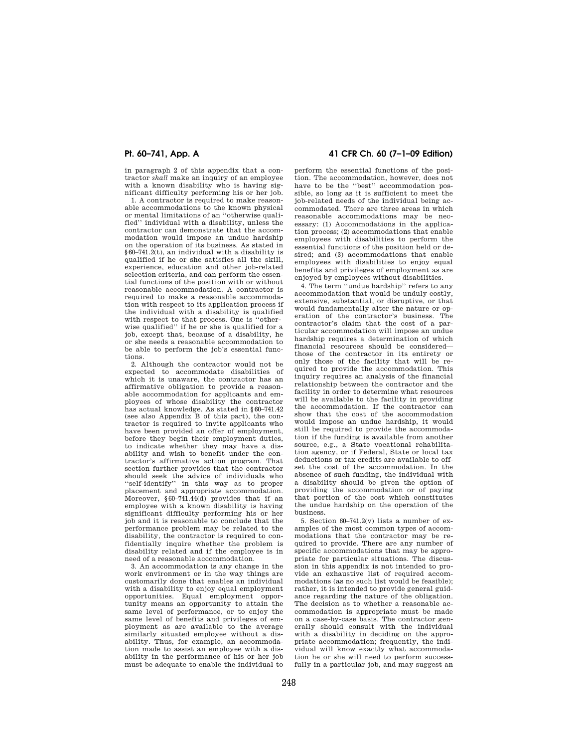in paragraph 2 of this appendix that a contractor *shall* make an inquiry of an employee with a known disability who is having significant difficulty performing his or her job.

1. A contractor is required to make reasonable accommodations to the known physical or mental limitations of an ''otherwise qualified'' individual with a disability, unless the contractor can demonstrate that the accommodation would impose an undue hardship on the operation of its business. As stated in §60–741.2(t), an individual with a disability is qualified if he or she satisfies all the skill, experience, education and other job-related selection criteria, and can perform the essential functions of the position with or without reasonable accommodation. A contractor is required to make a reasonable accommodation with respect to its application process if the individual with a disability is qualified with respect to that process. One is ''otherwise qualified'' if he or she is qualified for a job, except that, because of a disability, he or she needs a reasonable accommodation to be able to perform the job's essential functions.

2. Although the contractor would not be expected to accommodate disabilities of which it is unaware, the contractor has an affirmative obligation to provide a reasonable accommodation for applicants and employees of whose disability the contractor has actual knowledge. As stated in §60–741.42 (see also Appendix B of this part), the contractor is required to invite applicants who have been provided an offer of employment, before they begin their employment duties, to indicate whether they may have a disability and wish to benefit under the contractor's affirmative action program. That section further provides that the contractor should seek the advice of individuals who 'self-identify'' in this way as to proper placement and appropriate accommodation. Moreover, §60–741.44(d) provides that if an employee with a known disability is having significant difficulty performing his or her job and it is reasonable to conclude that the performance problem may be related to the disability, the contractor is required to confidentially inquire whether the problem is disability related and if the employee is in need of a reasonable accommodation.

3. An accommodation is any change in the work environment or in the way things are customarily done that enables an individual with a disability to enjoy equal employment opportunities. Equal employment opportunity means an opportunity to attain the same level of performance, or to enjoy the same level of benefits and privileges of employment as are available to the average similarly situated employee without a disability. Thus, for example, an accommodation made to assist an employee with a disability in the performance of his or her job must be adequate to enable the individual to

# **Pt. 60–741, App. A 41 CFR Ch. 60 (7–1–09 Edition)**

perform the essential functions of the position. The accommodation, however, does not have to be the ''best'' accommodation possible, so long as it is sufficient to meet the job-related needs of the individual being accommodated. There are three areas in which reasonable accommodations may be necessary: (1) Accommodations in the application process; (2) accommodations that enable employees with disabilities to perform the essential functions of the position held or desired; and (3) accommodations that enable employees with disabilities to enjoy equal benefits and privileges of employment as are enjoyed by employees without disabilities.

4. The term ''undue hardship'' refers to any accommodation that would be unduly costly, extensive, substantial, or disruptive, or that would fundamentally alter the nature or operation of the contractor's business. The contractor's claim that the cost of a particular accommodation will impose an undue hardship requires a determination of which financial resources should be considered those of the contractor in its entirety or only those of the facility that will be required to provide the accommodation. This inquiry requires an analysis of the financial relationship between the contractor and the facility in order to determine what resources will be available to the facility in providing the accommodation. If the contractor can show that the cost of the accommodation would impose an undue hardship, it would still be required to provide the accommodation if the funding is available from another source, e.g., a State vocational rehabilitation agency, or if Federal, State or local tax deductions or tax credits are available to offset the cost of the accommodation. In the absence of such funding, the individual with a disability should be given the option of providing the accommodation or of paying that portion of the cost which constitutes the undue hardship on the operation of the business.

5. Section 60–741.2(v) lists a number of examples of the most common types of accommodations that the contractor may be required to provide. There are any number of specific accommodations that may be appropriate for particular situations. The discussion in this appendix is not intended to provide an exhaustive list of required accommodations (as no such list would be feasible); rather, it is intended to provide general guidance regarding the nature of the obligation. The decision as to whether a reasonable accommodation is appropriate must be made on a case-by-case basis. The contractor generally should consult with the individual with a disability in deciding on the appropriate accommodation; frequently, the individual will know exactly what accommodation he or she will need to perform successfully in a particular job, and may suggest an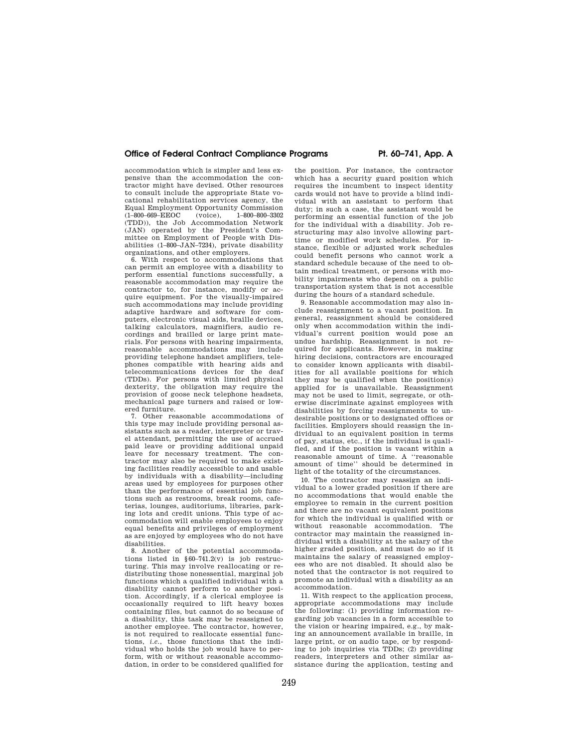# **Office of Federal Contract Compliance Programs Pt. 60–741, App. A**

accommodation which is simpler and less expensive than the accommodation the contractor might have devised. Other resources to consult include the appropriate State vocational rehabilitation services agency, the Equal Employment Opportunity Commission<br>(1-800-669-EEOC (voice). 1-800-800-3302 (1–800–669–EEOC (voice), (TDD)), the Job Accommodation Network (JAN) operated by the President's Committee on Employment of People with Disabilities (1–800–JAN–7234), private disability organizations, and other employers.

6. With respect to accommodations that can permit an employee with a disability to perform essential functions successfully, a reasonable accommodation may require the contractor to, for instance, modify or acquire equipment. For the visually-impaired such accommodations may include providing adaptive hardware and software for computers, electronic visual aids, braille devices, talking calculators, magnifiers, audio recordings and brailled or large print materials. For persons with hearing impairments, reasonable accommodations may include providing telephone handset amplifiers, telephones compatible with hearing aids and telecommunications devices for the deaf (TDDs). For persons with limited physical dexterity, the obligation may require the provision of goose neck telephone headsets, mechanical page turners and raised or lowered furniture.

7. Other reasonable accommodations of this type may include providing personal assistants such as a reader, interpreter or travel attendant, permitting the use of accrued paid leave or providing additional unpaid leave for necessary treatment. The contractor may also be required to make existing facilities readily accessible to and usable by individuals with a disability—including areas used by employees for purposes other than the performance of essential job functions such as restrooms, break rooms, cafeterias, lounges, auditoriums, libraries, parking lots and credit unions. This type of accommodation will enable employees to enjoy equal benefits and privileges of employment as are enjoyed by employees who do not have disabilities.

8. Another of the potential accommodations listed in  $\S 60 - 741.2(v)$  is job restructuring. This may involve reallocating or redistributing those nonessential, marginal job functions which a qualified individual with a disability cannot perform to another position. Accordingly, if a clerical employee is occasionally required to lift heavy boxes containing files, but cannot do so because of a disability, this task may be reassigned to another employee. The contractor, however, is not required to reallocate essential functions, *i.e.*, those functions that the individual who holds the job would have to perform, with or without reasonable accommodation, in order to be considered qualified for

the position. For instance, the contractor which has a security guard position which requires the incumbent to inspect identity cards would not have to provide a blind individual with an assistant to perform that duty; in such a case, the assistant would be performing an essential function of the job for the individual with a disability. Job restructuring may also involve allowing parttime or modified work schedules. For instance, flexible or adjusted work schedules could benefit persons who cannot work a standard schedule because of the need to obtain medical treatment, or persons with mobility impairments who depend on a public transportation system that is not accessible during the hours of a standard schedule.

9. Reasonable accommodation may also include reassignment to a vacant position. In general, reassignment should be considered only when accommodation within the individual's current position would pose an undue hardship. Reassignment is not required for applicants. However, in making hiring decisions, contractors are encouraged to consider known applicants with disabilities for all available positions for which they may be qualified when the position(s) applied for is unavailable. Reassignment may not be used to limit, segregate, or otherwise discriminate against employees with disabilities by forcing reassignments to undesirable positions or to designated offices or facilities. Employers should reassign the individual to an equivalent position in terms of pay, status, etc., if the individual is qualified, and if the position is vacant within a reasonable amount of time. A ''reasonable amount of time'' should be determined in light of the totality of the circumstances.

10. The contractor may reassign an individual to a lower graded position if there are no accommodations that would enable the employee to remain in the current position and there are no vacant equivalent positions for which the individual is qualified with or without reasonable accommodation. The contractor may maintain the reassigned individual with a disability at the salary of the higher graded position, and must do so if it maintains the salary of reassigned employees who are not disabled. It should also be noted that the contractor is not required to promote an individual with a disability as an accommodation.

11. With respect to the application process, appropriate accommodations may include the following: (1) providing information regarding job vacancies in a form accessible to the vision or hearing impaired, e.g., by making an announcement available in braille, in large print, or on audio tape, or by responding to job inquiries via TDDs; (2) providing readers, interpreters and other similar assistance during the application, testing and